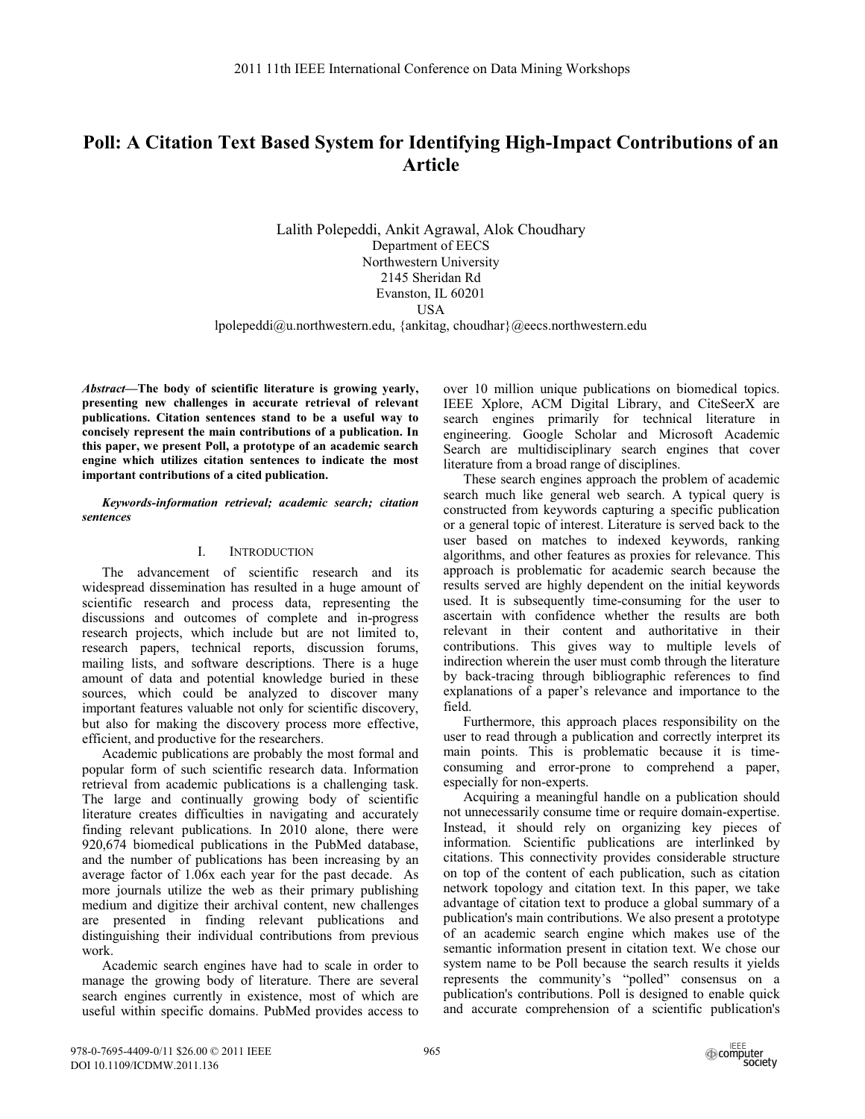# **Poll: A Citation Text Based System for Identifying High-Impact Contributions of an Article**

Lalith Polepeddi, Ankit Agrawal, Alok Choudhary Department of EECS Northwestern University 2145 Sheridan Rd Evanston, IL 60201 USA lpolepeddi@u.northwestern.edu, {ankitag, choudhar}@eecs.northwestern.edu

*Abstract***—The body of scientific literature is growing yearly, presenting new challenges in accurate retrieval of relevant publications. Citation sentences stand to be a useful way to concisely represent the main contributions of a publication. In this paper, we present Poll, a prototype of an academic search engine which utilizes citation sentences to indicate the most important contributions of a cited publication.** 

*Keywords-information retrieval; academic search; citation sentences* 

## I. INTRODUCTION

The advancement of scientific research and its widespread dissemination has resulted in a huge amount of scientific research and process data, representing the discussions and outcomes of complete and in-progress research projects, which include but are not limited to, research papers, technical reports, discussion forums, mailing lists, and software descriptions. There is a huge amount of data and potential knowledge buried in these sources, which could be analyzed to discover many important features valuable not only for scientific discovery, but also for making the discovery process more effective, efficient, and productive for the researchers.

Academic publications are probably the most formal and popular form of such scientific research data. Information retrieval from academic publications is a challenging task. The large and continually growing body of scientific literature creates difficulties in navigating and accurately finding relevant publications. In 2010 alone, there were 920,674 biomedical publications in the PubMed database, and the number of publications has been increasing by an average factor of 1.06x each year for the past decade. As more journals utilize the web as their primary publishing medium and digitize their archival content, new challenges are presented in finding relevant publications and distinguishing their individual contributions from previous work.

Academic search engines have had to scale in order to manage the growing body of literature. There are several search engines currently in existence, most of which are useful within specific domains. PubMed provides access to over 10 million unique publications on biomedical topics. IEEE Xplore, ACM Digital Library, and CiteSeerX are search engines primarily for technical literature in engineering. Google Scholar and Microsoft Academic Search are multidisciplinary search engines that cover literature from a broad range of disciplines.

These search engines approach the problem of academic search much like general web search. A typical query is constructed from keywords capturing a specific publication or a general topic of interest. Literature is served back to the user based on matches to indexed keywords, ranking algorithms, and other features as proxies for relevance. This approach is problematic for academic search because the results served are highly dependent on the initial keywords used. It is subsequently time-consuming for the user to ascertain with confidence whether the results are both relevant in their content and authoritative in their contributions. This gives way to multiple levels of indirection wherein the user must comb through the literature by back-tracing through bibliographic references to find explanations of a paper's relevance and importance to the field.

Furthermore, this approach places responsibility on the user to read through a publication and correctly interpret its main points. This is problematic because it is timeconsuming and error-prone to comprehend a paper, especially for non-experts.

Acquiring a meaningful handle on a publication should not unnecessarily consume time or require domain-expertise. Instead, it should rely on organizing key pieces of information. Scientific publications are interlinked by citations. This connectivity provides considerable structure on top of the content of each publication, such as citation network topology and citation text. In this paper, we take advantage of citation text to produce a global summary of a publication's main contributions. We also present a prototype of an academic search engine which makes use of the semantic information present in citation text. We chose our system name to be Poll because the search results it yields represents the community's "polled" consensus on a publication's contributions. Poll is designed to enable quick and accurate comprehension of a scientific publication's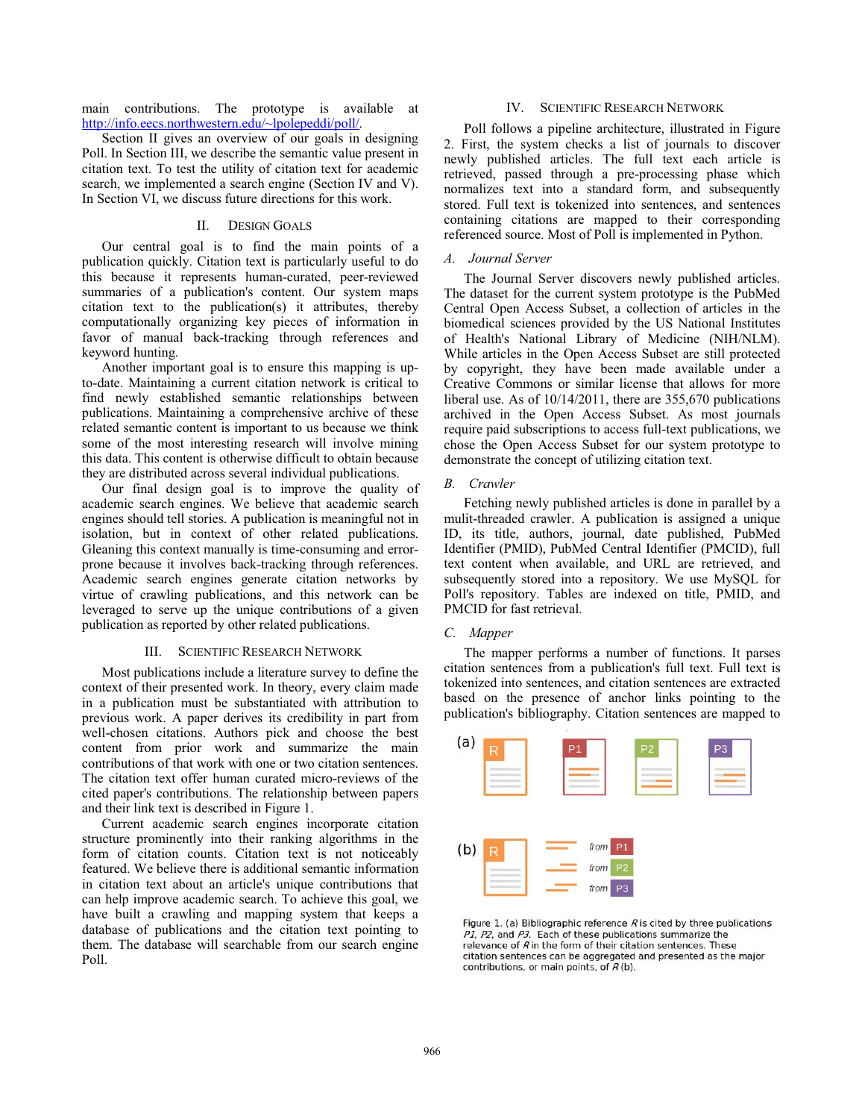main contributions. The prototype is available at http://info.eecs.northwestern.edu/~lpolepeddi/poll/.

Section II gives an overview of our goals in designing Poll. In Section III, we describe the semantic value present in citation text. To test the utility of citation text for academic search, we implemented a search engine (Section IV and V). In Section VI, we discuss future directions for this work.

## II. DESIGN GOALS

Our central goal is to find the main points of a publication quickly. Citation text is particularly useful to do this because it represents human-curated, peer-reviewed summaries of a publication's content. Our system maps citation text to the publication(s) it attributes, thereby computationally organizing key pieces of information in favor of manual back-tracking through references and keyword hunting.

Another important goal is to ensure this mapping is upto-date. Maintaining a current citation network is critical to find newly established semantic relationships between publications. Maintaining a comprehensive archive of these related semantic content is important to us because we think some of the most interesting research will involve mining this data. This content is otherwise difficult to obtain because they are distributed across several individual publications.

Our final design goal is to improve the quality of academic search engines. We believe that academic search engines should tell stories. A publication is meaningful not in isolation, but in context of other related publications. Gleaning this context manually is time-consuming and errorprone because it involves back-tracking through references. Academic search engines generate citation networks by virtue of crawling publications, and this network can be leveraged to serve up the unique contributions of a given publication as reported by other related publications.

## III. SCIENTIFIC RESEARCH NETWORK

Most publications include a literature survey to define the context of their presented work. In theory, every claim made in a publication must be substantiated with attribution to previous work. A paper derives its credibility in part from well-chosen citations. Authors pick and choose the best content from prior work and summarize the main contributions of that work with one or two citation sentences. The citation text offer human curated micro-reviews of the cited paper's contributions. The relationship between papers and their link text is described in Figure 1.

Current academic search engines incorporate citation structure prominently into their ranking algorithms in the form of citation counts. Citation text is not noticeably featured. We believe there is additional semantic information in citation text about an article's unique contributions that can help improve academic search. To achieve this goal, we have built a crawling and mapping system that keeps a database of publications and the citation text pointing to them. The database will searchable from our search engine Poll.

## IV. SCIENTIFIC RESEARCH NETWORK

Poll follows a pipeline architecture, illustrated in Figure 2. First, the system checks a list of journals to discover newly published articles. The full text each article is retrieved, passed through a pre-processing phase which normalizes text into a standard form, and subsequently stored. Full text is tokenized into sentences, and sentences containing citations are mapped to their corresponding referenced source. Most of Poll is implemented in Python.

## *A. Journal Server*

The Journal Server discovers newly published articles. The dataset for the current system prototype is the PubMed Central Open Access Subset, a collection of articles in the biomedical sciences provided by the US National Institutes of Health's National Library of Medicine (NIH/NLM). While articles in the Open Access Subset are still protected by copyright, they have been made available under a Creative Commons or similar license that allows for more liberal use. As of 10/14/2011, there are 355,670 publications archived in the Open Access Subset. As most journals require paid subscriptions to access full-text publications, we chose the Open Access Subset for our system prototype to demonstrate the concept of utilizing citation text.

## *B. Crawler*

Fetching newly published articles is done in parallel by a mulit-threaded crawler. A publication is assigned a unique ID, its title, authors, journal, date published, PubMed Identifier (PMID), PubMed Central Identifier (PMCID), full text content when available, and URL are retrieved, and subsequently stored into a repository. We use MySQL for Poll's repository. Tables are indexed on title, PMID, and PMCID for fast retrieval.

#### *C. Mapper*

The mapper performs a number of functions. It parses citation sentences from a publication's full text. Full text is tokenized into sentences, and citation sentences are extracted based on the presence of anchor links pointing to the publication's bibliography. Citation sentences are mapped to



Figure 1. (a) Bibliographic reference  $R$  is cited by three publications P1, P2, and P3. Each of these publications summarize the relevance of  $R$  in the form of their citation sentences. These citation sentences can be aggregated and presented as the major contributions, or main points, of  $R$  (b).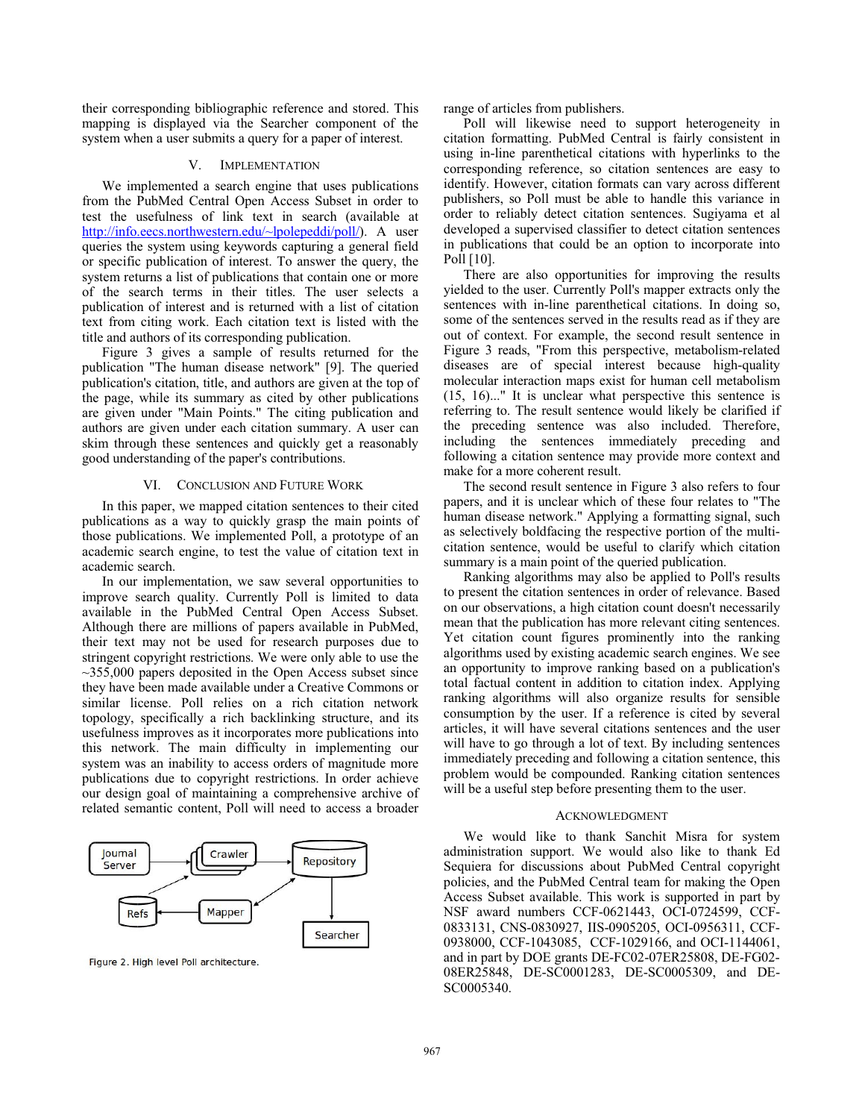their corresponding bibliographic reference and stored. This mapping is displayed via the Searcher component of the system when a user submits a query for a paper of interest.

## V. IMPLEMENTATION

We implemented a search engine that uses publications from the PubMed Central Open Access Subset in order to test the usefulness of link text in search (available at http://info.eecs.northwestern.edu/~lpolepeddi/poll/). A user queries the system using keywords capturing a general field or specific publication of interest. To answer the query, the system returns a list of publications that contain one or more of the search terms in their titles. The user selects a publication of interest and is returned with a list of citation text from citing work. Each citation text is listed with the title and authors of its corresponding publication.

Figure 3 gives a sample of results returned for the publication "The human disease network" [9]. The queried publication's citation, title, and authors are given at the top of the page, while its summary as cited by other publications are given under "Main Points." The citing publication and authors are given under each citation summary. A user can skim through these sentences and quickly get a reasonably good understanding of the paper's contributions.

### VI. CONCLUSION AND FUTURE WORK

In this paper, we mapped citation sentences to their cited publications as a way to quickly grasp the main points of those publications. We implemented Poll, a prototype of an academic search engine, to test the value of citation text in academic search.

In our implementation, we saw several opportunities to improve search quality. Currently Poll is limited to data available in the PubMed Central Open Access Subset. Although there are millions of papers available in PubMed, their text may not be used for research purposes due to stringent copyright restrictions. We were only able to use the  $\sim$ 355,000 papers deposited in the Open Access subset since they have been made available under a Creative Commons or similar license. Poll relies on a rich citation network topology, specifically a rich backlinking structure, and its usefulness improves as it incorporates more publications into this network. The main difficulty in implementing our system was an inability to access orders of magnitude more publications due to copyright restrictions. In order achieve our design goal of maintaining a comprehensive archive of related semantic content, Poll will need to access a broader



Figure 2. High level Poll architecture.

range of articles from publishers.

Poll will likewise need to support heterogeneity in citation formatting. PubMed Central is fairly consistent in using in-line parenthetical citations with hyperlinks to the corresponding reference, so citation sentences are easy to identify. However, citation formats can vary across different publishers, so Poll must be able to handle this variance in order to reliably detect citation sentences. Sugiyama et al developed a supervised classifier to detect citation sentences in publications that could be an option to incorporate into Poll [10].

There are also opportunities for improving the results yielded to the user. Currently Poll's mapper extracts only the sentences with in-line parenthetical citations. In doing so, some of the sentences served in the results read as if they are out of context. For example, the second result sentence in Figure 3 reads, "From this perspective, metabolism-related diseases are of special interest because high-quality molecular interaction maps exist for human cell metabolism (15, 16)..." It is unclear what perspective this sentence is referring to. The result sentence would likely be clarified if the preceding sentence was also included. Therefore, including the sentences immediately preceding and following a citation sentence may provide more context and make for a more coherent result.

The second result sentence in Figure 3 also refers to four papers, and it is unclear which of these four relates to "The human disease network." Applying a formatting signal, such as selectively boldfacing the respective portion of the multicitation sentence, would be useful to clarify which citation summary is a main point of the queried publication.

Ranking algorithms may also be applied to Poll's results to present the citation sentences in order of relevance. Based on our observations, a high citation count doesn't necessarily mean that the publication has more relevant citing sentences. Yet citation count figures prominently into the ranking algorithms used by existing academic search engines. We see an opportunity to improve ranking based on a publication's total factual content in addition to citation index. Applying ranking algorithms will also organize results for sensible consumption by the user. If a reference is cited by several articles, it will have several citations sentences and the user will have to go through a lot of text. By including sentences immediately preceding and following a citation sentence, this problem would be compounded. Ranking citation sentences will be a useful step before presenting them to the user.

#### ACKNOWLEDGMENT

We would like to thank Sanchit Misra for system administration support. We would also like to thank Ed Sequiera for discussions about PubMed Central copyright policies, and the PubMed Central team for making the Open Access Subset available. This work is supported in part by NSF award numbers CCF-0621443, OCI-0724599, CCF-0833131, CNS-0830927, IIS-0905205, OCI-0956311, CCF-0938000, CCF-1043085, CCF-1029166, and OCI-1144061, and in part by DOE grants DE-FC02-07ER25808, DE-FG02- 08ER25848, DE-SC0001283, DE-SC0005309, and DE-SC0005340.